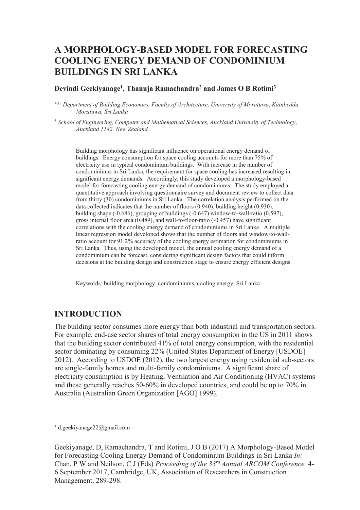# **A MORPHOLOGY-BASED MODEL FOR FORECASTING COOLING ENERGY DEMAND OF CONDOMINIUM BUILDINGS IN SRI LANKA**

#### **Devindi Geekiyanage<sup>1</sup> , Thanuja Ramachandra<sup>2</sup> and James O B Rotimi<sup>3</sup>**

*1&2 Department of Building Economics, Faculty of Architecture, University of Moratuwa, Katubedda, Moratuwa, Sri Lanka* 

<sup>3</sup> School of Engineering, Computer and Mathematical Sciences, Auckland University of Technology, *Auckland 1142, New Zealand.* 

Building morphology has significant influence on operational energy demand of buildings. Energy consumption for space cooling accounts for more than 75% of electricity use in typical condominium buildings. With increase in the number of condominiums in Sri Lanka, the requirement for space cooling has increased resulting in significant energy demands. Accordingly, this study developed a morphology-based model for forecasting cooling energy demand of condominiums. The study employed a quantitative approach involving questionnaire survey and document review to collect data from thirty (30) condominiums in Sri Lanka. The correlation analysis performed on the data collected indicates that the number of floors (0.940), building height (0.930), building shape (-0.686), grouping of buildings (-0.647) window-to-wall-ratio (0.597), gross internal floor area (0.489), and wall-to-floor-ratio (-0.457) have significant correlations with the cooling energy demand of condominiums in Sri Lanka. A multiple linear regression model developed shows that the number of floors and window-to-wallratio account for 91.2% accuracy of the cooling energy estimation for condominiums in Sri Lanka. Thus, using the developed model, the annual cooling energy demand of a condominium can be forecast, considering significant design factors that could inform decisions at the building design and construction stage to ensure energy efficient designs.

Keywords: building morphology, condominiums, cooling energy, Sri Lanka

### **INTRODUCTION**

The building sector consumes more energy than both industrial and transportation sectors. For example, end-use sector shares of total energy consumption in the US in 2011 shows that the building sector contributed 41% of total energy consumption, with the residential sector dominating by consuming 22% (United States Department of Energy [USDOE] 2012). According to USDOE (2012), the two largest energy using residential sub-sectors are single-family homes and multi-family condominiums. A significant share of electricity consumption is by Heating, Ventilation and Air Conditioning (HVAC) systems and these generally reaches 50-60% in developed countries, and could be up to 70% in Australia (Australian Green Organization [AGO] 1999).

 $\overline{a}$ 

<sup>1</sup> d.geekiyanage22@gmail.com

Geekiyanage, D, Ramachandra, T and Rotimi, J O B (2017) A Morphology-Based Model for Forecasting Cooling Energy Demand of Condominium Buildings in Sri Lanka *In:*  Chan, P W and Neilson, C J (Eds) *Proceeding of the 33rd Annual ARCOM Conference,* 4- 6 September 2017, Cambridge, UK, Association of Researchers in Construction Management, 289-298.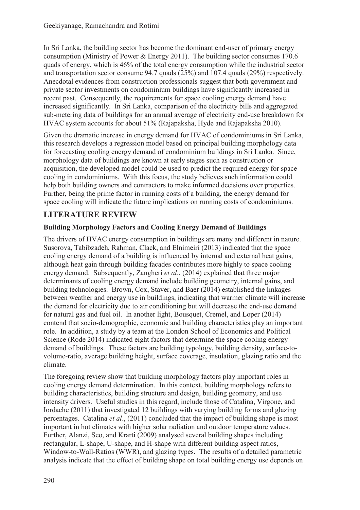In Sri Lanka, the building sector has become the dominant end-user of primary energy consumption (Ministry of Power & Energy 2011). The building sector consumes 170.6 quads of energy, which is 46% of the total energy consumption while the industrial sector and transportation sector consume 94.7 quads (25%) and 107.4 quads (29%) respectively. Anecdotal evidences from construction professionals suggest that both government and private sector investments on condominium buildings have significantly increased in recent past. Consequently, the requirements for space cooling energy demand have increased significantly. In Sri Lanka, comparison of the electricity bills and aggregated sub-metering data of buildings for an annual average of electricity end-use breakdown for HVAC system accounts for about 51% (Rajapaksha, Hyde and Rajapaksha 2010).

Given the dramatic increase in energy demand for HVAC of condominiums in Sri Lanka, this research develops a regression model based on principal building morphology data for forecasting cooling energy demand of condominium buildings in Sri Lanka. Since, morphology data of buildings are known at early stages such as construction or acquisition, the developed model could be used to predict the required energy for space cooling in condominiums. With this focus, the study believes such information could help both building owners and contractors to make informed decisions over properties. Further, being the prime factor in running costs of a building, the energy demand for space cooling will indicate the future implications on running costs of condominiums.

# **LITERATURE REVIEW**

## **Building Morphology Factors and Cooling Energy Demand of Buildings**

The drivers of HVAC energy consumption in buildings are many and different in nature. Susorova, Tabibzadeh, Rahman, Clack, and Elnimeiri (2013) indicated that the space cooling energy demand of a building is influenced by internal and external heat gains, although heat gain through building facades contributes more highly to space cooling energy demand. Subsequently, Zangheri *et al*., (2014) explained that three major determinants of cooling energy demand include building geometry, internal gains, and building technologies. Brown, Cox, Staver, and Baer (2014) established the linkages between weather and energy use in buildings, indicating that warmer climate will increase the demand for electricity due to air conditioning but will decrease the end-use demand for natural gas and fuel oil. In another light, Bousquet, Cremel, and Loper (2014) contend that socio-demographic, economic and building characteristics play an important role. In addition, a study by a team at the London School of Economics and Political Science (Rode 2014) indicated eight factors that determine the space cooling energy demand of buildings. These factors are building typology, building density, surface-tovolume-ratio, average building height, surface coverage, insulation, glazing ratio and the climate.

The foregoing review show that building morphology factors play important roles in cooling energy demand determination. In this context, building morphology refers to building characteristics, building structure and design, building geometry, and use intensity drivers. Useful studies in this regard, include those of Catalina, Virgone, and Iordache (2011) that investigated 12 buildings with varying building forms and glazing percentages. Catalina *et al*., (2011) concluded that the impact of building shape is most important in hot climates with higher solar radiation and outdoor temperature values. Further, Alanzi, Seo, and Krarti (2009) analysed several building shapes including rectangular, L-shape, U-shape, and H-shape with different building aspect ratios, Window-to-Wall-Ratios (WWR), and glazing types. The results of a detailed parametric analysis indicate that the effect of building shape on total building energy use depends on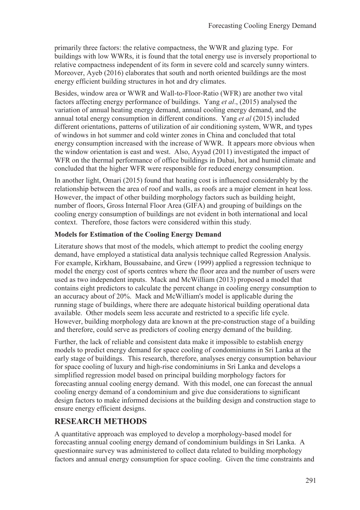primarily three factors: the relative compactness, the WWR and glazing type. For buildings with low WWRs, it is found that the total energy use is inversely proportional to relative compactness independent of its form in severe cold and scarcely sunny winters. Moreover, Ayeb (2016) elaborates that south and north oriented buildings are the most energy efficient building structures in hot and dry climates.

Besides, window area or WWR and Wall-to-Floor-Ratio (WFR) are another two vital factors affecting energy performance of buildings. Yang *et al*., (2015) analysed the variation of annual heating energy demand, annual cooling energy demand, and the annual total energy consumption in different conditions. Yang *et al* (2015) included different orientations, patterns of utilization of air conditioning system, WWR, and types of windows in hot summer and cold winter zones in China and concluded that total energy consumption increased with the increase of WWR. It appears more obvious when the window orientation is east and west. Also, Ayyad (2011) investigated the impact of WFR on the thermal performance of office buildings in Dubai, hot and humid climate and concluded that the higher WFR were responsible for reduced energy consumption.

In another light, Omari (2015) found that heating cost is influenced considerably by the relationship between the area of roof and walls, as roofs are a major element in heat loss. However, the impact of other building morphology factors such as building height, number of floors, Gross Internal Floor Area (GIFA) and grouping of buildings on the cooling energy consumption of buildings are not evident in both international and local context. Therefore, those factors were considered within this study.

## **Models for Estimation of the Cooling Energy Demand**

Literature shows that most of the models, which attempt to predict the cooling energy demand, have employed a statistical data analysis technique called Regression Analysis. For example, Kirkham, Boussabaine, and Grew (1999) applied a regression technique to model the energy cost of sports centres where the floor area and the number of users were used as two independent inputs. Mack and McWilliam (2013) proposed a model that contains eight predictors to calculate the percent change in cooling energy consumption to an accuracy about of 20%. Mack and McWilliam's model is applicable during the running stage of buildings, where there are adequate historical building operational data available. Other models seem less accurate and restricted to a specific life cycle. However, building morphology data are known at the pre-construction stage of a building and therefore, could serve as predictors of cooling energy demand of the building.

Further, the lack of reliable and consistent data make it impossible to establish energy models to predict energy demand for space cooling of condominiums in Sri Lanka at the early stage of buildings. This research, therefore, analyses energy consumption behaviour for space cooling of luxury and high-rise condominiums in Sri Lanka and develops a simplified regression model based on principal building morphology factors for forecasting annual cooling energy demand. With this model, one can forecast the annual cooling energy demand of a condominium and give due considerations to significant design factors to make informed decisions at the building design and construction stage to ensure energy efficient designs.

## **RESEARCH METHODS**

A quantitative approach was employed to develop a morphology-based model for forecasting annual cooling energy demand of condominium buildings in Sri Lanka. A questionnaire survey was administered to collect data related to building morphology factors and annual energy consumption for space cooling. Given the time constraints and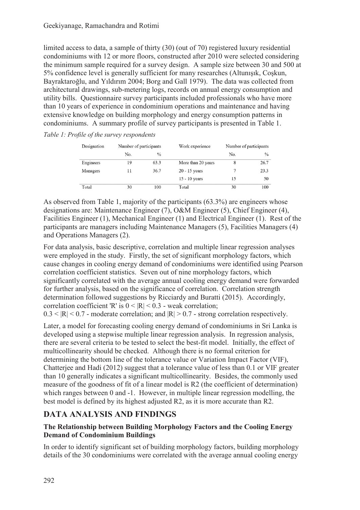limited access to data, a sample of thirty (30) (out of 70) registered luxury residential condominiums with 12 or more floors, constructed after 2010 were selected considering the minimum sample required for a survey design. A sample size between 30 and 500 at 5% confidence level is generally sufficient for many researches (Altunışık, Coşkun, Bayraktaroğlu, and Yıldırım 2004; Borg and Gall 1979). The data was collected from architectural drawings, sub-metering logs, records on annual energy consumption and utility bills. Questionnaire survey participants included professionals who have more than 10 years of experience in condominium operations and maintenance and having extensive knowledge on building morphology and energy consumption patterns in condominiums. A summary profile of survey participants is presented in Table 1.

*Table 1: Profile of the survey respondents* 

| Designation | Number of participants |               | Work experience    | Number of participants |               |
|-------------|------------------------|---------------|--------------------|------------------------|---------------|
|             | No.                    | $\frac{0}{0}$ |                    | No.                    | $\frac{0}{0}$ |
| Engineers   | 19                     | 63.3          | More than 20 years | 8                      | 26.7          |
| Managers    | 11                     | 36.7          | $20 - 15$ years    |                        | 23.3          |
|             |                        |               | $15 - 10$ years    | 15                     | 50            |
| Total       | 30                     | 100           | Total              | 30                     | 100           |

As observed from Table 1, majority of the participants (63.3%) are engineers whose designations are: Maintenance Engineer (7), O&M Engineer (5), Chief Engineer (4), Facilities Engineer (1), Mechanical Engineer (1) and Electrical Engineer (1). Rest of the participants are managers including Maintenance Managers (5), Facilities Managers (4) and Operations Managers (2).

For data analysis, basic descriptive, correlation and multiple linear regression analyses were employed in the study. Firstly, the set of significant morphology factors, which cause changes in cooling energy demand of condominiums were identified using Pearson correlation coefficient statistics. Seven out of nine morphology factors, which significantly correlated with the average annual cooling energy demand were forwarded for further analysis, based on the significance of correlation. Correlation strength determination followed suggestions by Ricciardy and Buratti (2015). Accordingly, correlation coefficient 'R' is  $0 \leq |R| \leq 0.3$  - weak correlation;

 $0.3 \leq |R| \leq 0.7$  - moderate correlation; and  $|R| \geq 0.7$  - strong correlation respectively.

Later, a model for forecasting cooling energy demand of condominiums in Sri Lanka is developed using a stepwise multiple linear regression analysis. In regression analysis, there are several criteria to be tested to select the best-fit model. Initially, the effect of multicollinearity should be checked. Although there is no formal criterion for determining the bottom line of the tolerance value or Variation Impact Factor (VIF), Chatterjee and Hadi (2012) suggest that a tolerance value of less than 0.1 or VIF greater than 10 generally indicates a significant multicollinearity. Besides, the commonly used measure of the goodness of fit of a linear model is R2 (the coefficient of determination) which ranges between 0 and -1. However, in multiple linear regression modelling, the best model is defined by its highest adjusted R2, as it is more accurate than R2.

## **DATA ANALYSIS AND FINDINGS**

## **The Relationship between Building Morphology Factors and the Cooling Energy Demand of Condominium Buildings**

In order to identify significant set of building morphology factors, building morphology details of the 30 condominiums were correlated with the average annual cooling energy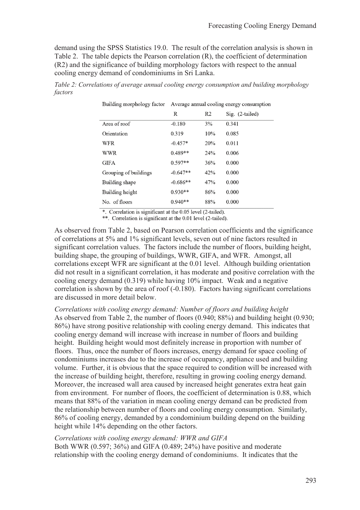demand using the SPSS Statistics 19.0. The result of the correlation analysis is shown in Table 2. The table depicts the Pearson correlation (R), the coefficient of determination (R2) and the significance of building morphology factors with respect to the annual cooling energy demand of condominiums in Sri Lanka.

| Building morphology factor | Average annual cooling energy consumption |                |                   |  |
|----------------------------|-------------------------------------------|----------------|-------------------|--|
|                            | R                                         | R <sub>2</sub> | $Sig.$ (2-tailed) |  |
| Area of roof               | $-0.180$                                  | 3%             | 0.341             |  |
| Orientation                | 0.319                                     | 10%            | 0.085             |  |
| WFR                        | $-0.457*$                                 | 20%            | 0.011             |  |
| <b>WWR</b>                 | $0.489**$                                 | 24%            | 0.006             |  |
| <b>GIFA</b>                | $0.597**$                                 | 36%            | 0.000             |  |
| Grouping of buildings      | $-0.647**$                                | 42%            | 0.000             |  |
| Building shape             | $-0.686**$                                | 47%            | 0.000             |  |
| Building height            | $0.930**$                                 | 86%            | 0.000             |  |
| No. of floors              | $0.940**$                                 | 88%            | 0.000             |  |

*Table 2: Correlations of average annual cooling energy consumption and building morphology factors* 

\*. Correlation is significant at the 0.05 level (2-tailed).

\*\*. Correlation is significant at the 0.01 level (2-tailed).

As observed from Table 2, based on Pearson correlation coefficients and the significance of correlations at 5% and 1% significant levels, seven out of nine factors resulted in significant correlation values. The factors include the number of floors, building height, building shape, the grouping of buildings, WWR, GIFA, and WFR. Amongst, all correlations except WFR are significant at the 0.01 level. Although building orientation did not result in a significant correlation, it has moderate and positive correlation with the cooling energy demand (0.319) while having 10% impact. Weak and a negative correlation is shown by the area of roof (-0.180). Factors having significant correlations are discussed in more detail below.

*Correlations with cooling energy demand: Number of floors and building height*  As observed from Table 2, the number of floors (0.940; 88%) and building height (0.930; 86%) have strong positive relationship with cooling energy demand. This indicates that cooling energy demand will increase with increase in number of floors and building height. Building height would most definitely increase in proportion with number of floors. Thus, once the number of floors increases, energy demand for space cooling of condominiums increases due to the increase of occupancy, appliance used and building volume. Further, it is obvious that the space required to condition will be increased with the increase of building height, therefore, resulting in growing cooling energy demand. Moreover, the increased wall area caused by increased height generates extra heat gain from environment. For number of floors, the coefficient of determination is 0.88, which means that 88% of the variation in mean cooling energy demand can be predicted from the relationship between number of floors and cooling energy consumption. Similarly, 86% of cooling energy, demanded by a condominium building depend on the building height while 14% depending on the other factors.

#### *Correlations with cooling energy demand: WWR and GIFA*

Both WWR (0.597; 36%) and GIFA (0.489; 24%) have positive and moderate relationship with the cooling energy demand of condominiums. It indicates that the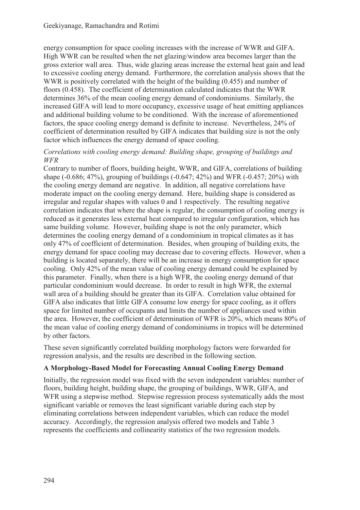energy consumption for space cooling increases with the increase of WWR and GIFA. High WWR can be resulted when the net glazing/window area becomes larger than the gross exterior wall area. Thus, wide glazing areas increase the external heat gain and lead to excessive cooling energy demand. Furthermore, the correlation analysis shows that the WWR is positively correlated with the height of the building (0.455) and number of floors (0.458). The coefficient of determination calculated indicates that the WWR determines 36% of the mean cooling energy demand of condominiums. Similarly, the increased GIFA will lead to more occupancy, excessive usage of heat emitting appliances and additional building volume to be conditioned. With the increase of aforementioned factors, the space cooling energy demand is definite to increase. Nevertheless, 24% of coefficient of determination resulted by GIFA indicates that building size is not the only factor which influences the energy demand of space cooling.

### *Correlations with cooling energy demand: Building shape, grouping of buildings and WFR*

Contrary to number of floors, building height, WWR, and GIFA, correlations of building shape (-0.686; 47%), grouping of buildings (-0.647; 42%) and WFR (-0.457; 20%) with the cooling energy demand are negative. In addition, all negative correlations have moderate impact on the cooling energy demand. Here, building shape is considered as irregular and regular shapes with values 0 and 1 respectively. The resulting negative correlation indicates that where the shape is regular, the consumption of cooling energy is reduced as it generates less external heat compared to irregular configuration, which has same building volume. However, building shape is not the only parameter, which determines the cooling energy demand of a condominium in tropical climates as it has only 47% of coefficient of determination. Besides, when grouping of building exits, the energy demand for space cooling may decrease due to covering effects. However, when a building is located separately, there will be an increase in energy consumption for space cooling. Only 42% of the mean value of cooling energy demand could be explained by this parameter. Finally, when there is a high WFR, the cooling energy demand of that particular condominium would decrease. In order to result in high WFR, the external wall area of a building should be greater than its GIFA. Correlation value obtained for GIFA also indicates that little GIFA consume low energy for space cooling, as it offers space for limited number of occupants and limits the number of appliances used within the area. However, the coefficient of determination of WFR is 20%, which means 80% of the mean value of cooling energy demand of condominiums in tropics will be determined by other factors.

These seven significantly correlated building morphology factors were forwarded for regression analysis, and the results are described in the following section.

## **A Morphology-Based Model for Forecasting Annual Cooling Energy Demand**

Initially, the regression model was fixed with the seven independent variables: number of floors, building height, building shape, the grouping of buildings, WWR, GIFA, and WFR using a stepwise method. Stepwise regression process systematically adds the most significant variable or removes the least significant variable during each step by eliminating correlations between independent variables, which can reduce the model accuracy. Accordingly, the regression analysis offered two models and Table 3 represents the coefficients and collinearity statistics of the two regression models.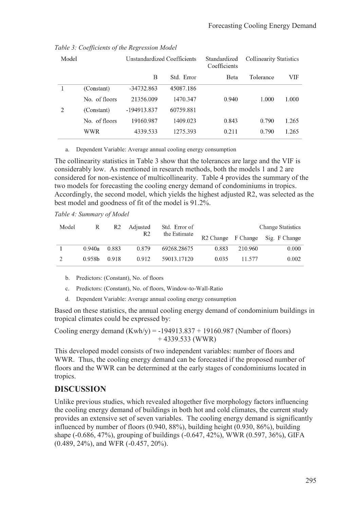|               | Unstandardized Coefficients |            | Standardized<br>Coefficients | <b>Collinearity Statistics</b> |       |
|---------------|-----------------------------|------------|------------------------------|--------------------------------|-------|
|               | B                           | Std. Error | Beta                         | Tolerance                      | VIF   |
| (Constant)    | -34732.863                  | 45087.186  |                              |                                |       |
| No. of floors | 21356.009                   | 1470.347   | 0.940                        | 1.000                          | 1.000 |
| (Constant)    | -194913.837                 | 60759.881  |                              |                                |       |
| No. of floors | 19160.987                   | 1409.023   | 0.843                        | 0.790                          | 1.265 |
| WWR           | 4339.533                    | 1275.393   | 0.211                        | 0.790                          | 1.265 |
|               |                             |            |                              |                                |       |

### *Table 3: Coefficients of the Regression Model*

#### a. Dependent Variable: Average annual cooling energy consumption

The collinearity statistics in Table 3 show that the tolerances are large and the VIF is considerably low. As mentioned in research methods, both the models 1 and 2 are considered for non-existence of multicollinearity. Table 4 provides the summary of the two models for forecasting the cooling energy demand of condominiums in tropics. Accordingly, the second model, which yields the highest adjusted R2, was selected as the best model and goodness of fit of the model is 91.2%.

*Table 4: Summary of Model* 

| Model | R                  | R2    | Adjusted | Std. Error of |       |         | <b>Change Statistics</b>         |
|-------|--------------------|-------|----------|---------------|-------|---------|----------------------------------|
|       |                    |       | R2       | the Estimate  |       |         | R2 Change F Change Sig. F Change |
|       | $0.940a$ 0.883     |       | 0.879    | 69268.28675   | 0.883 | 210.960 | 0.000                            |
|       | 0.958 <sub>b</sub> | 0.918 | 0.912    | 59013.17120   | 0.035 | 11.577  | 0.002                            |

b. Predictors: (Constant), No. of floors

c. Predictors: (Constant), No. of floors, Window-to-Wall-Ratio

d. Dependent Variable: Average annual cooling energy consumption

Based on these statistics, the annual cooling energy demand of condominium buildings in tropical climates could be expressed by:

Cooling energy demand  $(Kwh/y) = -194913.837 + 19160.987$  (Number of floors)  $+ 4339.533$  (WWR)

This developed model consists of two independent variables: number of floors and WWR. Thus, the cooling energy demand can be forecasted if the proposed number of floors and the WWR can be determined at the early stages of condominiums located in tropics.

## **DISCUSSION**

Unlike previous studies, which revealed altogether five morphology factors influencing the cooling energy demand of buildings in both hot and cold climates, the current study provides an extensive set of seven variables. The cooling energy demand is significantly influenced by number of floors (0.940, 88%), building height (0.930, 86%), building shape (-0.686, 47%), grouping of buildings (-0.647, 42%), WWR (0.597, 36%), GIFA (0.489, 24%), and WFR (-0.457, 20%).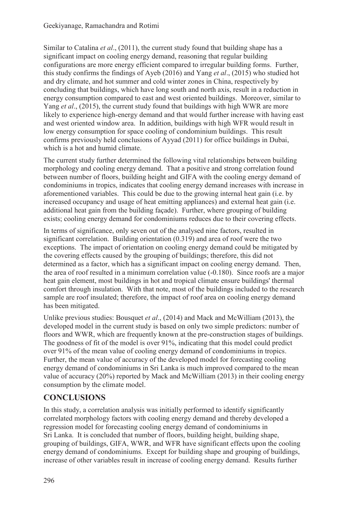Similar to Catalina *et al*., (2011), the current study found that building shape has a significant impact on cooling energy demand, reasoning that regular building configurations are more energy efficient compared to irregular building forms. Further, this study confirms the findings of Ayeb (2016) and Yang *et al*., (2015) who studied hot and dry climate, and hot summer and cold winter zones in China, respectively by concluding that buildings, which have long south and north axis, result in a reduction in energy consumption compared to east and west oriented buildings. Moreover, similar to Yang *et al*., (2015), the current study found that buildings with high WWR are more likely to experience high-energy demand and that would further increase with having east and west oriented window area. In addition, buildings with high WFR would result in low energy consumption for space cooling of condominium buildings. This result confirms previously held conclusions of Ayyad (2011) for office buildings in Dubai, which is a hot and humid climate.

The current study further determined the following vital relationships between building morphology and cooling energy demand. That a positive and strong correlation found between number of floors, building height and GIFA with the cooling energy demand of condominiums in tropics, indicates that cooling energy demand increases with increase in aforementioned variables. This could be due to the growing internal heat gain (i.e. by increased occupancy and usage of heat emitting appliances) and external heat gain (i.e. additional heat gain from the building façade). Further, where grouping of building exists; cooling energy demand for condominiums reduces due to their covering effects.

In terms of significance, only seven out of the analysed nine factors, resulted in significant correlation. Building orientation (0.319) and area of roof were the two exceptions. The impact of orientation on cooling energy demand could be mitigated by the covering effects caused by the grouping of buildings; therefore, this did not determined as a factor, which has a significant impact on cooling energy demand. Then, the area of roof resulted in a minimum correlation value (-0.180). Since roofs are a major heat gain element, most buildings in hot and tropical climate ensure buildings' thermal comfort through insulation. With that note, most of the buildings included to the research sample are roof insulated; therefore, the impact of roof area on cooling energy demand has been mitigated.

Unlike previous studies: Bousquet *et al*., (2014) and Mack and McWilliam (2013), the developed model in the current study is based on only two simple predictors: number of floors and WWR, which are frequently known at the pre-construction stages of buildings. The goodness of fit of the model is over 91%, indicating that this model could predict over 91% of the mean value of cooling energy demand of condominiums in tropics. Further, the mean value of accuracy of the developed model for forecasting cooling energy demand of condominiums in Sri Lanka is much improved compared to the mean value of accuracy (20%) reported by Mack and McWilliam (2013) in their cooling energy consumption by the climate model.

# **CONCLUSIONS**

In this study, a correlation analysis was initially performed to identify significantly correlated morphology factors with cooling energy demand and thereby developed a regression model for forecasting cooling energy demand of condominiums in Sri Lanka. It is concluded that number of floors, building height, building shape, grouping of buildings, GIFA, WWR, and WFR have significant effects upon the cooling energy demand of condominiums. Except for building shape and grouping of buildings, increase of other variables result in increase of cooling energy demand. Results further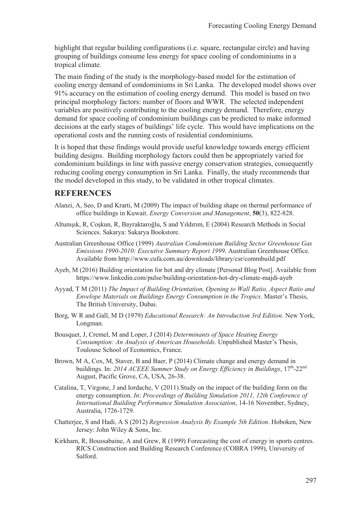highlight that regular building configurations (i.e. square, rectangular circle) and having grouping of buildings consume less energy for space cooling of condominiums in a tropical climate.

The main finding of the study is the morphology-based model for the estimation of cooling energy demand of condominiums in Sri Lanka. The developed model shows over 91% accuracy on the estimation of cooling energy demand. This model is based on two principal morphology factors: number of floors and WWR. The selected independent variables are positively contributing to the cooling energy demand. Therefore, energy demand for space cooling of condominium buildings can be predicted to make informed decisions at the early stages of buildings' life cycle. This would have implications on the operational costs and the running costs of residential condominiums.

It is hoped that these findings would provide useful knowledge towards energy efficient building designs. Building morphology factors could then be appropriately varied for condominium buildings in line with passive energy conservation strategies, consequently reducing cooling energy consumption in Sri Lanka. Finally, the study recommends that the model developed in this study, to be validated in other tropical climates.

## **REFERENCES**

- Alanzi, A, Seo, D and Krarti, M (2009) The impact of building shape on thermal performance of office buildings in Kuwait. *Energy Conversion and Management*, **50**(3), 822-828.
- Altunışık, R, Coşkun, R, Bayraktaroğlu, S and Yıldırım, E (2004) Research Methods in Social Sciences. Sakarya: Sakarya Bookstore.
- Australian Greenhouse Office (1999) *Australian Condominium Building Sector Greenhouse Gas Emissions 1990-2010: Executive Summary Report 1999*. Australian Greenhouse Office. Available from http://www.cufa.com.au/downloads/library/csr/commbuild.pdf
- Ayeb, M (2016) Building orientation for hot and dry climate [Personal Blog Post]. Available from https://www.linkedin.com/pulse/building-orientation-hot-dry-climate-majdi-ayeb
- Ayyad, T M (2011) *The Impact of Building Orientation, Opening to Wall Ratio, Aspect Ratio and Envelope Materials on Buildings Energy Consumption in the Tropics*. Master's Thesis, The British University, Dubai.
- Borg, W R and Gall, M D (1979) *Educational Research: An Introduction 3rd Edition*. New York, Longman.
- Bousquet, J, Cremel, M and Loper, J (2014) *Determinants of Space Heating Energy Consumption: An Analysis of American Households*. Unpublished Master's Thesis, Toulouse School of Economics, France.
- Brown, M A, Cox, M, Staver, B and Baer, P (2014) Climate change and energy demand in buildings. In: 2014 ACEEE Summer Study on Energy Efficiency in Buildings, 17<sup>th</sup>-22<sup>nd</sup> August, Pacific Grove, CA, USA, 26-38.
- Catalina, T, Virgone, J and Iordache, V (2011) Study on the impact of the building form on the energy consumption. *In*: *Proceedings of Building Simulation 2011, 12th Conference of International Building Performance Simulation Association*, 14-16 November, Sydney, Australia, 1726-1729.
- Chatterjee, S and Hadi, A S (2012) *Regression Analysis By Example 5th Edition*. Hoboken, New Jersey: John Wiley & Sons, Inc.
- Kirkham, R, Boussabaine, A and Grew, R (1999) Forecasting the cost of energy in sports centres. RICS Construction and Building Research Conference (COBRA 1999), University of Salford.